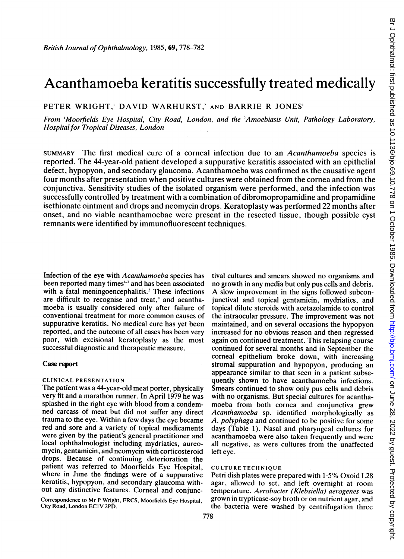# Acanthamoeba keratitis successfully treated medically

PETER WRIGHT, DAVID WARHURST,<sup>2</sup> AND BARRIE R JONES'

From 'Moorfields Eye Hospital, City Road, London, and the 2Amoebiasis Unit, Pathology Laboratory, Hospital for Tropical Diseases, London

SUMMARY The first medical cure of a corneal infection due to an Acanthamoeba species is reported. The 44-year-old patient developed a suppurative keratitis associated with an epithelial defect, hypopyon, and secondary glaucoma. Acanthamoeba was confirmed as the causative agent four months after presentation when positive cultures were obtained from the cornea and from the conjunctiva. Sensitivity studies of the isolated organism were performed, and the infection was successfully controlled by treatment with a combination of dibromopropamidine and propamidine isethionate ointment and drops and neomycin drops. Keratoplasty was performed 22 months after onset, and no viable acanthamoebae were present in the resected tissue, though possible cyst remnants were identified by immunofluorescent techniques.

Infection of the eye with Acanthamoeba species has been reported many times<sup>1-7</sup> and has been associated with a fatal meningoencephalitis.<sup>2</sup> These infections are difficult to recognise and treat,<sup>\*</sup> and acanthamoeba is usually considered only after failure of conventional treatment for more common causes of suppurative keratitis. No medical cure has yet been reported, and the outcome of all cases has been very poor, with excisional keratoplasty as the most successful diagnostic and therapeutic measure.

# Case report

# CLINICAL PRESENTATION

The patient was a 44-year-old meat porter, physically very fit and a marathon runner. In April 1979 he was splashed in the right eye with blood from a condemned carcass of meat but did not suffer any direct trauma to the eye. Within a few days the eye became red and sore and a variety of topical medicaments were given by the patient's general practitioner and local ophthalmologist including mydriatics, aureomycin, gentamicin, and neomycin with corticosteroid drops. Because of continuing deterioration the patient was referred to Moorfields Eye Hospital, where in June the findings were of a suppurative keratitis, hypopyon, and secondary glaucoma without any distinctive features. Corneal and conjunc-

Correspondence to Mr P Wright, FRCS, Moorfields Eye Hospital, City Road, London ECIV 2PD.

tival cultures and smears showed no organisms and no growth in any media but only pus cells and debris. A slow improvement in the signs followed subconjunctival and topical gentamicin, mydriatics, and topical dilute steroids with acetazolamide to control the intraocular pressure. The improvement was not maintained, and on several occasions the hypopyon increased for no obvious reason and then regressed again on continued treatment. This relapsing course continued for several months and in September the corneal epithelium broke down, with increasing stromal suppuration and hypopyon, producing an appearance similar to that seen in a patient subsequently shown to have acanthamoeba infections. Smears continued to show only pus cells and debris with no organisms. But special cultures for acanthamoeba from both cornea and conjunctiva grew Acanthamoeba sp. identified morphologically as A. polyphaga and continued to be positive for some days (Table 1). Nasal and pharyngeal cultures for acanthamoeba were also taken frequently and were all negative, as were cultures from the unaffected left eye.

# CULTURE TECHNIQUE

Petri dish plates were prepared with 1-5% Oxoid L28 agar, allowed to set, and left overnight at room temperature. Aerobacter (Klebsiella) aerogenes was grown in trypticase-soy broth or on nutrient agar, and the bacteria were washed by centrifugation three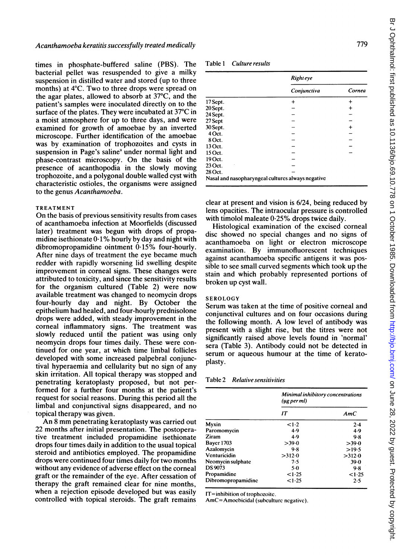times in phosphate-buffered saline (PBS). The bacterial pellet was resuspended to give a milky suspension in distilled water and stored (up to three months) at 4°C. Two to three drops were spread on the agar plates, allowed to absorb at 37°C, and the patient's samples were inoculated directly on to the surface of the plates. They were incubated at 37°C in a moist atmosphere for up to three days, and were examined for growth of amoebae by an inverted microscope. Further identification of the amoebae was by examination of trophozoites and cysts in suspension in Page's saline<sup>9</sup> under normal light and phase-contrast microscopy. On the basis of the presence of acanthopodia in the slowly moving trophozoite, and a polygonal double walled cyst with characteristic ostioles, the organisms were assigned to the genus Acanthamoeba.

## **TREATMENT**

On the basis of previous sensitivity results from cases of acanthamoeba infection at Moorfields (discussed later) treatment was begun with drops of propamidine isethionate 0 1% hourly by day and night with dibromopropamidine ointment 0-15% four-hourly. After nine days of treatment the eye became much redder with rapidly worsening lid swelling despite improvement in corneal signs. These changes were attributed to toxicity, and since the sensitivity results for the organism cultured (Table 2) were now available treatment was changed to neomycin drops four-hourly day and night. By October the epithelium had healed, and four-hourly prednisolone drops were added, with steady improvement in the corneal inflammatory signs. The treatment was slowly reduced until the patient was using only neomycin drops four times daily. These were continued for one year, at which time limbal follicles developed with some increased palpebral conjunctival hyperaemia and cellularity but no sign of any skin irritation. All topical therapy was stopped and penetrating keratoplasty proposed, but not performed for a further four months at the patient's request for social reasons. During this period all the limbal and conjunctival signs disappeared, and no topical therapy was given.

An <sup>8</sup> mm penetrating keratoplasty was carried out 22 months after initial presentation. The postoperative treatment included propamidine isethionate drops four times daily in addition to the usual topical steroid and antibiotics employed. The propamidine drops were continued four times daily for two months without any evidence of adverse effect on the corneal graft or the remainder of the eye. After cessation of therapy the graft remained clear for nine months, when a rejection episode developed but was easily controlled with topical steroids. The graft remains

| Culture results |
|-----------------|
|                 |

|          | Right eye                                         |           |  |
|----------|---------------------------------------------------|-----------|--|
|          | Conjunctiva                                       | Cornea    |  |
| 17 Sept. | +                                                 |           |  |
| 20 Sept. |                                                   | +         |  |
| 24 Sept. |                                                   |           |  |
| 27 Sept  |                                                   |           |  |
| 30 Sept. |                                                   | $\ddot{}$ |  |
| 4 Oct.   |                                                   |           |  |
| 8 Oct.   |                                                   |           |  |
| 13 Oct.  |                                                   |           |  |
| 15 Oct.  |                                                   |           |  |
| 19 Oct.  |                                                   |           |  |
| 23 Oct.  |                                                   |           |  |
| 28 Oct.  |                                                   |           |  |
|          | Nasal and nasopharyngeal cultures always negative |           |  |

clear at present and vision is 6/24, being reduced by lens opacities. The intraocular pressure is controlled with timolol maleate  $0.25%$  drops twice daily.

Histological examination of the excised corneal disc showed no special changes and no signs of acanthamoeba on light or electron microscope examination. By immunofluorescent techniques against acanthamoeba specific antigens it was possible to see small curved segments which took up the stain and which probably represented portions of broken up cyst wall.

## **SEROLOGY**

Serum was taken at the time of positive corneal and conjunctival cultures and on four occasions during the following month. A low level of antibody was present with a slight rise, but the titres were not significantly raised above levels found in 'normal' sera (Table 3). Antibody could not be detected in serum or aqueous humour at the time of keratoplasty.

#### Table 2 Relative sensitivities

|                    | Minimal inhibitory concentrations<br>$(\mu$ g per ml $)$ |        |  |
|--------------------|----------------------------------------------------------|--------|--|
|                    | IT                                                       | AmC    |  |
| Myxin              | $\leq1.2$                                                | 2.4    |  |
| Paromomycin        | 4.9                                                      | 4.9    |  |
| Ziram              | 4.9                                                      | 9.8    |  |
| <b>Bayer 1703</b>  | >39.0                                                    | >39.0  |  |
| Azalomycin         | 9.8                                                      | >19.5  |  |
| Venturicidin       | >312.0                                                   | >312.0 |  |
| Neomycin sulphate  | 7.5                                                      | $39-0$ |  |
| <b>DS 9073</b>     | $5-0$                                                    | 9.8    |  |
| Propamidine        | <1.25                                                    | <1.25  |  |
| Dibromopropamidine | <1.25                                                    | 2.5    |  |

IT= inhibition of trophozoite.

AmC=Amoebicidal (subculturc negativc).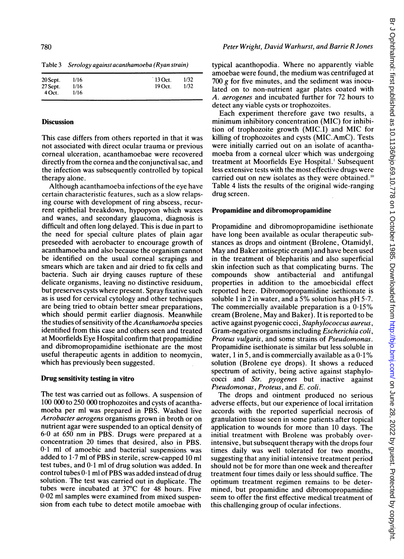Table 3 Serology against acanthamoeba (Ryan strain)

| 20 Sept.   | 1/16 | $13$ Oct. | 1/32 |
|------------|------|-----------|------|
| $27$ Sept. | 1/16 | $19$ Oct. | 1/32 |
| 4 Oct.     | 1/16 |           |      |
|            |      |           |      |

#### **Discussion**

This case differs from others reported in that it was not associated with direct ocular trauma or previous corneal ulceration, acanthamoebae were recovered directly from the cornea and the conjunctival sac, and the infection was subsequently controlled by topical therapy alone.

Although acanthamoeba infections of the eye have certain characteristic features, such as a slow relapsing course with development of ring abscess, recurrent epithelial breakdown, hypopyon which waxes and wanes, and secondary glaucoma, diagnosis is difficult and often long delayed. This is due in part to the need for special culture plates of plain agar preseeded with aerobacter to encourage growth of acanthamoeba and also because the organism cannot be identified on the usual corneal scrapings and smears which are taken and air dried to fix cells and bacteria. Such air drying causes rupture of these delicate organisms, leaving no distinctive residuum, but preserves cysts where present. Spray fixative such as is used for cervical cytology and other techniques are being tried to obtain better smear preparations, which should permit earlier diagnosis. Meanwhile the studies of sensitivity of the Acanthamoeba species identified from this case and others seen and treated at Moorfields Eye Hospital confirm that propamidine and dibromopropamidine isethionate are the most useful therapeutic agents in addition to neomycin, which has previously been suggested.

# Drug sensitivity testing in vitro

The test was carried out as follows. A suspension of <sup>100</sup> <sup>000</sup> to 250 000 trophozoites and cysts of acanthamoeba per ml was prepared in PBS. Washed live Aerobacter aerogens organisms grown in broth or on nutrient agar were suspended to an optical density of 6-0 at 650 nm in PBS. Drugs were prepared at <sup>a</sup> concentration 20 times that desired, also in PBS. 0-1 ml of amoebic and bacterial suspensions was added to 1-7 ml of PBS in sterile, screw-capped 10 ml test tubes, and  $0.1$  ml of drug solution was added. In control tubes  $0.1$  ml of PBS was added instead of drug solution. The test was carried out in duplicate. The tubes were incubated at 37°C for 48 hours. Five 0-02 ml samples were examined from mixed suspension from each tube to detect motile amoebae with

typical acanthopodia. Where no apparently viable amoebae were found, the medium was centrifuged at 700 g for five minutes, and the sediment was inoculated on to non-nutrient agar plates coated with A. aerogenes and incubated further for 72 hours to detect any viable cysts or trophozoites.

Each experiment therefore gave two results, a minimum inhibitory concentration (MIC) for inhibition of trophozoite growth (MIC.I) and MIC for killing of trophozoites and cysts (MIC.AmC). Tests were initially carried out on an isolate of acanthamoeba from a corneal ulcer which was undergoing treatment at Moorfields Eye Hospital.' Subsequent less extensive tests with the most effective drugs were carried out on new isolates as they were obtained."' Table 4 lists the results of the original wide-ranging drug screen.

#### Propamidine and dibromopropamidine

Propamidine and dibromopropamidine isethionate have long been available as ocular therapeutic substances as drops and ointment (Brolene, Otamidyl, May and Baker antiseptic cream) and have been used in the treatment of blepharitis and also superficial skin infection such as that complicating burns. The compounds show antibacterial and antifungal properties in addition to the amoebicidal effect reported here. Dibromopropamidine isethionate is soluble 1 in 2 in water, and a 5% solution has  $pH$  5.7. The commercially available preparation is a  $0.15\%$ cream (Brolene, May and Baker). It is reported to be active against pyogenic cocci, Staphylococcus aureus, Gram-negative organisms including Escherichia coli, Proteus vulgaris, and some strains of Pseudomonas. Propamidine isethionate is similar but less soluble in water, 1 in 5, and is commercially available as a  $0.1\%$ solution (Brolene eye drops). It shows a reduced spectrum of activity, being active against staphylococci and Str. pyogenes but inactive against Pseudomonas, Proteus, and E. coli.

The drops and ointment produced no serious adverse effects, but our experience of local irritation accords with the reported superficial necrosis of granulation tissue seen in some patients after topical application to wounds for more than 10 days. The initial treatment with Brolene was probably overintensive, but subsequent therapy with the drops four times daily was well tolerated for two months, suggesting that any initial intensive treatment period should not be for more than one week and thereafter treatment four times daily or less should suffice. The optimum treatment regimen remains to be determined, but propamidine and dibromopropamidine seem to offer the first effective medical treatment of this challenging group of ocular infections.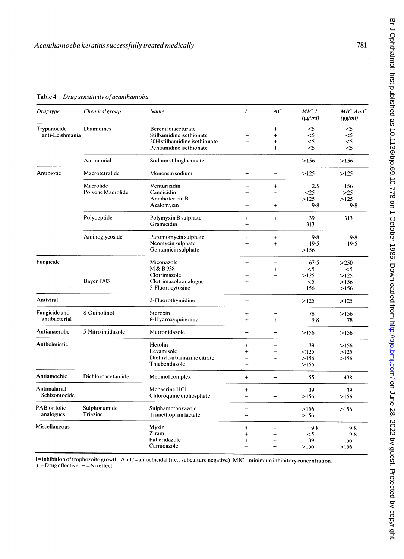Table 4 Drug sensitivity of acanthamoba

| Drug type            | Chemical group    | Name                         | $\mathbf{I}$             | AC                       | MIC. I<br>$(\mu g/ml)$ | MIC.AmC<br>$(\mu g/ml)$ |
|----------------------|-------------------|------------------------------|--------------------------|--------------------------|------------------------|-------------------------|
| Trypanocide          | <b>Diamidines</b> | <b>Berenil diaceturate</b>   | $\ddot{}$                | $\ddot{}$                | $\leq 5$               | $<$ 5                   |
| anti-Leishmania      |                   | Stilbamidine isethionate     | $^{+}$                   | $\ddot{}$                | $<$ 5                  | $<$ 5                   |
|                      |                   | 20H stilbamidine isethionate | $\ddot{}$                | $\ddot{}$                | $<$ 5                  | $<$ 5                   |
|                      |                   | Pentamidine isethionate      | $\ddot{}$                | $\ddot{+}$               | $<$ 5                  | $<$ 5                   |
|                      | Antimonial        | Sodium stibogluconate        | $\qquad \qquad -$        | $\equiv$                 | >156                   | >156                    |
| Antibiotic           | Macrotetralide    | Monensin sodium              | j.                       | $\overline{\phantom{0}}$ | >125                   | >125                    |
|                      | Macrolide         | Venturicidin                 | $^{+}$                   | $\ddot{}$                | 2.5                    | 156                     |
|                      | Polyene Macrolide | Candicidin                   | $^{+}$                   | -                        | < 25                   | $>25$                   |
|                      |                   | Amphotericin B               |                          | ۳                        | >125                   | >125                    |
|                      |                   | Azalomycin                   | $^{+}$                   | $+$                      | 9.8                    | 9.8                     |
|                      | Polypeptide       | Polymyxin B sulphate         | $+$                      | $+$                      | 39                     | 313                     |
|                      |                   | Gramicidin                   | $\ddot{}$                |                          | 313                    |                         |
|                      | Aminoglycoside    | Paromomycin sulphate         | $^{+}$                   | $\ddot{}$                | 9.8                    | 9.8                     |
|                      |                   | Neomycin sulphate            | $\ddot{}$                | $^{+}$                   | 19.5                   | 19.5                    |
|                      |                   | Gentamicin sulphate          | $\overline{\phantom{0}}$ |                          | >156                   |                         |
| Fungicide            |                   | Miconazole                   | $\ddot{}$                | $\overline{a}$           | 67.5                   | >250                    |
|                      |                   | M & B 938                    | $\ddot{}$                | $^{+}$                   | $<$ 5                  | $<$ 5                   |
|                      |                   | Clotrimazole                 |                          |                          | >125                   | >125                    |
|                      | Bayer 1703        | Clotrimazole analogue        | $\ddot{}$                | -                        | $<$ 5                  |                         |
|                      |                   | 5-Fluorocytosine             | $+$                      |                          | 156                    | >156                    |
|                      |                   |                              |                          |                          |                        | >156                    |
| Antiviral            |                   | 3-Fluorothymidine            | $\overline{\phantom{0}}$ | $\overline{\phantom{0}}$ | >125                   | >125                    |
| Fungicide and        | 8-Quinolinol      | Steroxin                     | $^{+}$                   |                          | 78                     | >156                    |
| antibacterial        |                   | 8-Hydroxyquinoline           | $+$                      | $\ddot{}$                | 9.8                    | 78                      |
| Antianacrobe         | 5-Nitro imidazole | Metronidazole                | $\overline{\phantom{0}}$ |                          | >156                   | >156                    |
| Anthelmintic         |                   | Hetolin                      | $+$                      | $\overline{\phantom{0}}$ | 39                     | >156                    |
|                      |                   | Levamisole                   | $^{+}$                   | $\overline{\phantom{0}}$ | < 125                  | >125                    |
|                      |                   | Dicthylcarbamazine citrate   |                          |                          | >156                   | >156                    |
|                      |                   | Thiabendazole                | $\equiv$                 |                          | >156                   |                         |
| Antiamoebic          | Dichloroacetamide | Mebinol complex              | $+$                      | $+$                      | 55                     | 438                     |
| Antimalarial         |                   | Mepacrine HCI                | $^{+}$                   | $\ddot{}$                | 39                     | 39                      |
| Schizontocide        |                   | Chloroquine diphosphate      |                          |                          | >156                   | >156                    |
| PAB or folic         | Sulphonamide      | Sulphamethoxazole            | $\overline{\phantom{0}}$ | $\overline{\phantom{0}}$ | >156                   | >156                    |
| analogues            | Triazine          | Trimethoprim lactate         |                          |                          | >156                   |                         |
| <b>Miscellaneous</b> |                   | Myxin                        | $^{+}$                   | $^{+}$                   | 9.8                    | 9.8                     |
|                      |                   | Ziram                        | $^{+}$                   | $^{+}$                   | $<$ 5                  | 9.8                     |
|                      |                   | Fuberidazole                 | $^{+}$                   | $^{+}$                   | 39                     | 156                     |
|                      |                   | Carnidazole                  |                          |                          | >156                   | >156                    |
|                      |                   |                              |                          |                          |                        |                         |

I=inhibition of trophozoite growth. AmC=amoebicidal (i.c., subculturc negative). MIC=minimum inhibitory concentration.  $+=$  Drug effective.  $-$  = No effect.